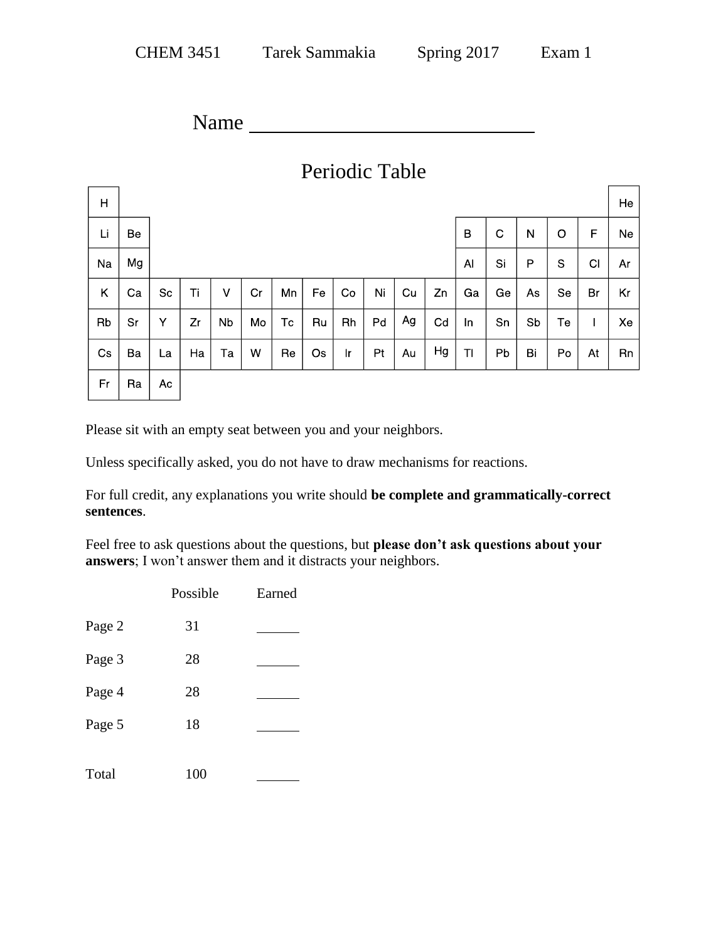Name

| Periodic Table |    |    |    |    |    |    |    |              |    |             |    |    |              |    |    |             |    |
|----------------|----|----|----|----|----|----|----|--------------|----|-------------|----|----|--------------|----|----|-------------|----|
| H              |    |    |    |    |    |    |    |              |    |             |    |    |              |    |    |             | He |
| Li             | Be |    |    |    |    |    |    |              | B  | $\mathbf C$ | N  | O  | $\mathsf{F}$ | Ne |    |             |    |
| Na             | Mg |    |    |    |    |    |    |              |    |             |    | AI | Si           | P  | S  | C1          | Ar |
| Κ              | Ca | Sc | Ti | v  | Cr | Mn | Fe | Co           | Ni | Cu          | Zn | Ga | Ge           | As | Se | Br          | Kr |
| Rb             | Sr | Υ  | Zr | Nb | Mo | Tc | Ru | Rh           | Pd | Ag          | Cd | In | Sn           | Sb | Te | $\mathbf l$ | Xe |
| Cs             | Ba | La | Ha | Ta | W  | Re | Os | $\mathsf{r}$ | Pt | Au          | Hg | TI | Pb           | Bi | Po | At          | Rn |
| Fr             | Ra | Ac |    |    |    |    |    |              |    |             |    |    |              |    |    |             |    |

Please sit with an empty seat between you and your neighbors.

Unless specifically asked, you do not have to draw mechanisms for reactions.

For full credit, any explanations you write should **be complete and grammatically-correct sentences**.

Feel free to ask questions about the questions, but **please don't ask questions about your answers**; I won't answer them and it distracts your neighbors.

|        | Possible | Earned |
|--------|----------|--------|
| Page 2 | 31       |        |
| Page 3 | 28       |        |
| Page 4 | 28       |        |
| Page 5 | 18       |        |
| Total  | 100      |        |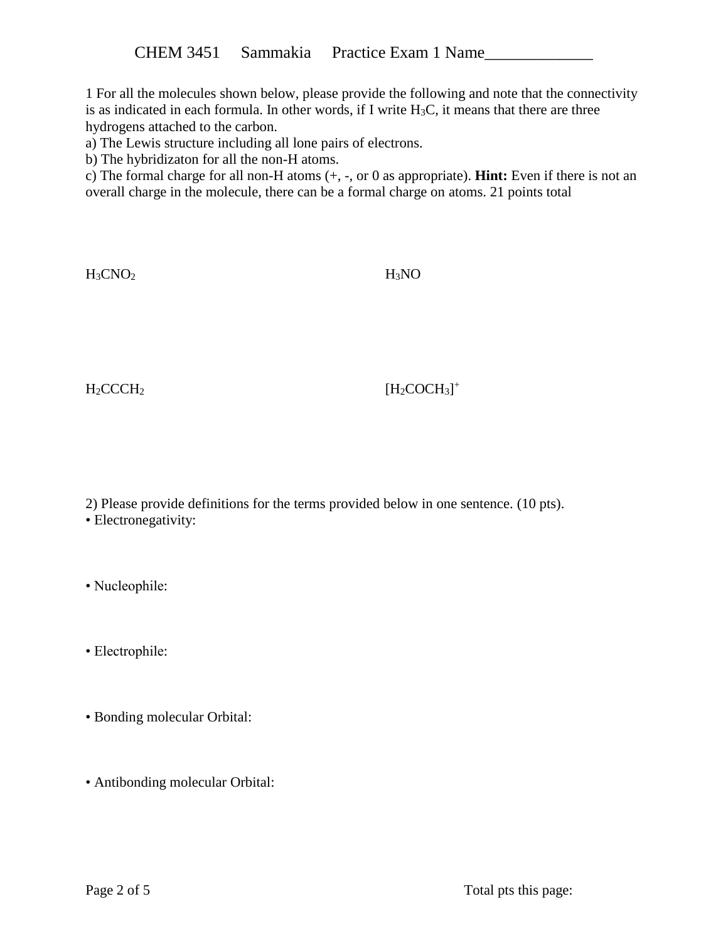1 For all the molecules shown below, please provide the following and note that the connectivity is as indicated in each formula. In other words, if I write  $H_3C$ , it means that there are three hydrogens attached to the carbon.

a) The Lewis structure including all lone pairs of electrons.

b) The hybridizaton for all the non-H atoms.

c) The formal charge for all non-H atoms (+, -, or 0 as appropriate). **Hint:** Even if there is not an overall charge in the molecule, there can be a formal charge on atoms. 21 points total

 $H_3CNO_2$   $H_3NO$ 

 $H_2CCCH_2$  [H<sub>2</sub>COCH<sub>3</sub>]<sup>+</sup>

2) Please provide definitions for the terms provided below in one sentence. (10 pts).

• Nucleophile:

• Electrophile:

- Bonding molecular Orbital:
- Antibonding molecular Orbital:

<sup>•</sup> Electronegativity: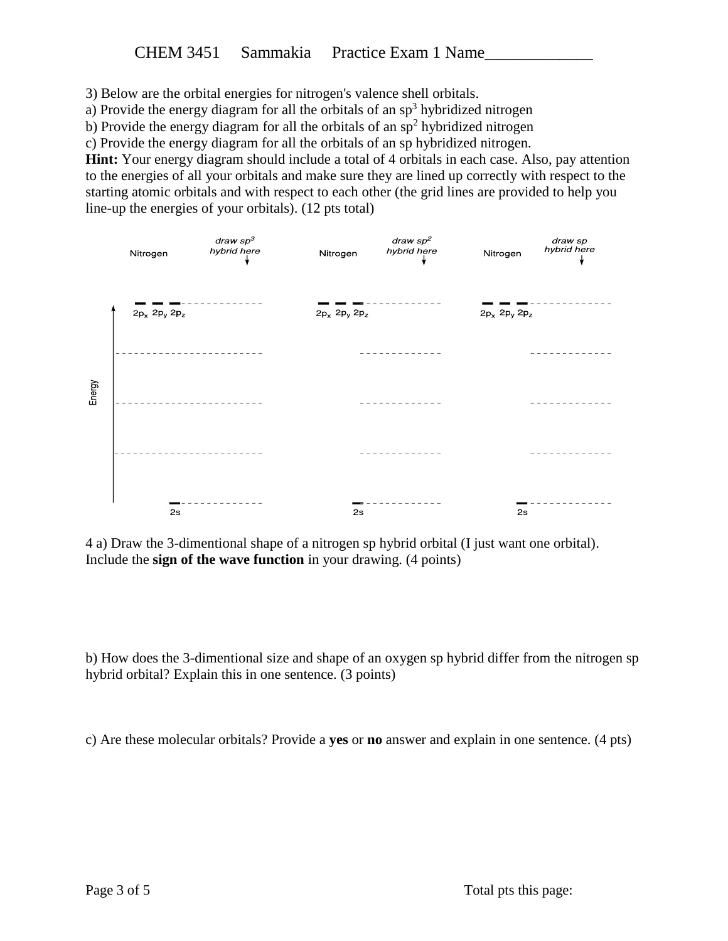3) Below are the orbital energies for nitrogen's valence shell orbitals.

a) Provide the energy diagram for all the orbitals of an  $sp<sup>3</sup>$  hybridized nitrogen

b) Provide the energy diagram for all the orbitals of an  $sp<sup>2</sup>$  hybridized nitrogen

c) Provide the energy diagram for all the orbitals of an sp hybridized nitrogen.

**Hint:** Your energy diagram should include a total of 4 orbitals in each case. Also, pay attention to the energies of all your orbitals and make sure they are lined up correctly with respect to the starting atomic orbitals and with respect to each other (the grid lines are provided to help you line-up the energies of your orbitals). (12 pts total)



4 a) Draw the 3-dimentional shape of a nitrogen sp hybrid orbital (I just want one orbital). Include the **sign of the wave function** in your drawing. (4 points)

b) How does the 3-dimentional size and shape of an oxygen sp hybrid differ from the nitrogen sp hybrid orbital? Explain this in one sentence. (3 points)

c) Are these molecular orbitals? Provide a **yes** or **no** answer and explain in one sentence. (4 pts)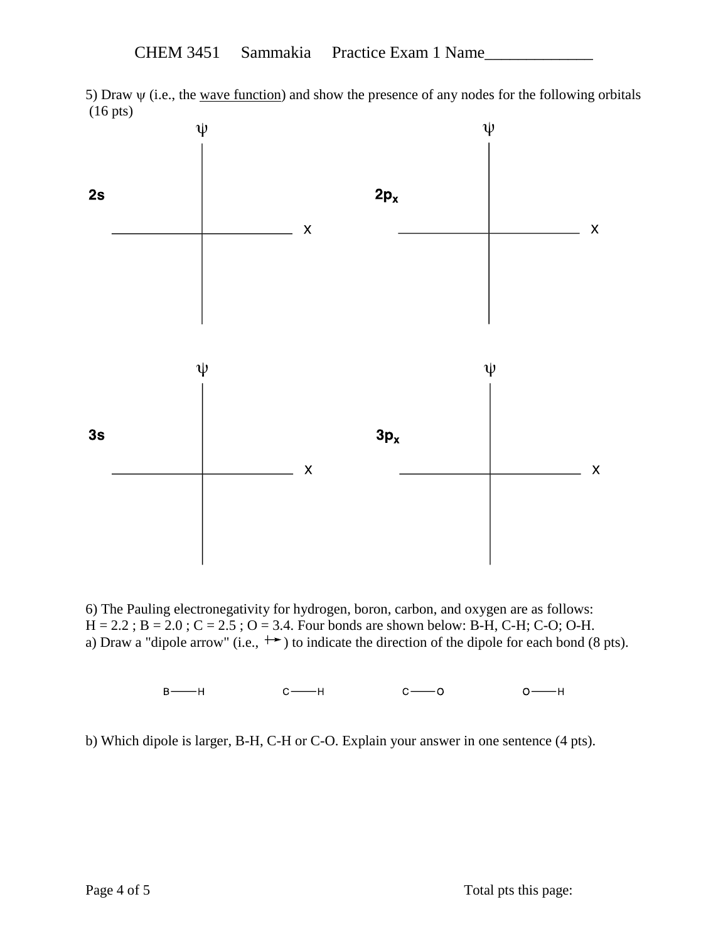5) Draw  $\psi$  (i.e., the wave function) and show the presence of any nodes for the following orbitals (16 pts)



6) The Pauling electronegativity for hydrogen, boron, carbon, and oxygen are as follows:  $H = 2.2$ ;  $B = 2.0$ ;  $C = 2.5$ ;  $O = 3.4$ . Four bonds are shown below: B-H, C-H; C-O; O-H. a) Draw a "dipole arrow" (i.e.,  $\rightarrow$ ) to indicate the direction of the dipole for each bond (8 pts).

> $B$  –––––H  $C \longrightarrow H$  $C \longrightarrow O$  $O \longrightarrow H$

b) Which dipole is larger, B-H, C-H or C-O. Explain your answer in one sentence (4 pts).